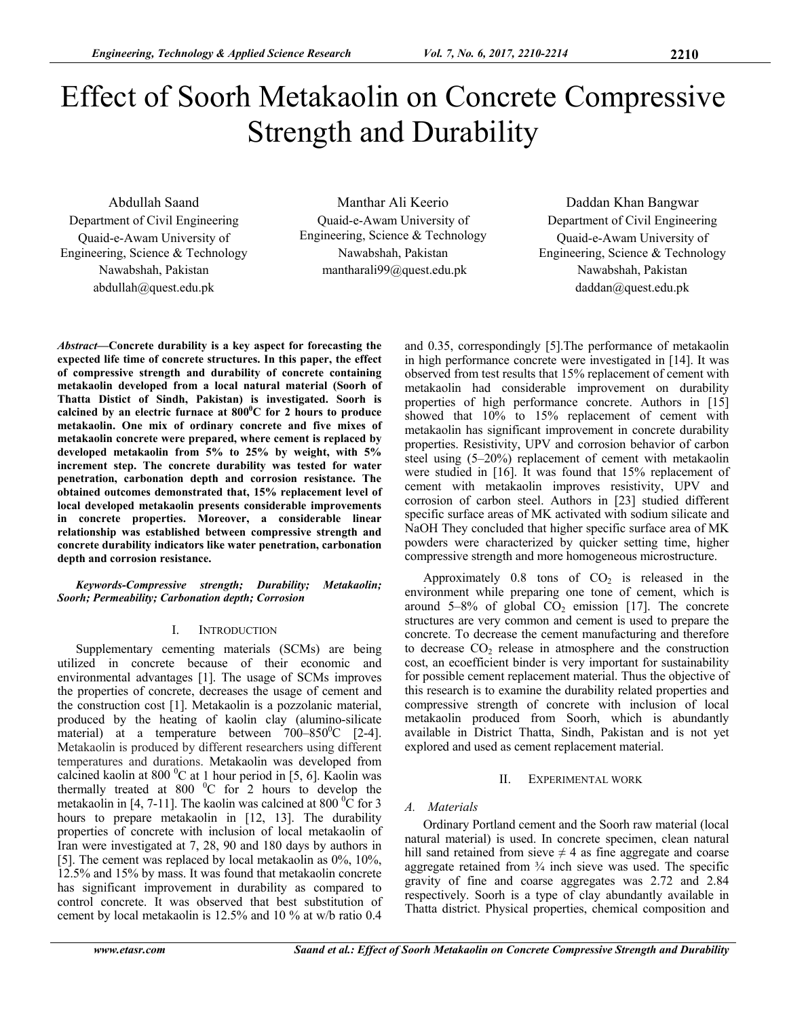# Effect of Soorh Metakaolin on Concrete Compressive Strength and Durability

Abdullah Saand Department of Civil Engineering Quaid-e-Awam University of Engineering, Science & Technology Nawabshah, Pakistan abdullah@quest.edu.pk

Manthar Ali Keerio Quaid-e-Awam University of Engineering, Science & Technology Nawabshah, Pakistan mantharali99@quest.edu.pk

Daddan Khan Bangwar Department of Civil Engineering Quaid-e-Awam University of Engineering, Science & Technology Nawabshah, Pakistan daddan@quest.edu.pk

*Abstract***—Concrete durability is a key aspect for forecasting the expected life time of concrete structures. In this paper, the effect of compressive strength and durability of concrete containing metakaolin developed from a local natural material (Soorh of Thatta Distict of Sindh, Pakistan) is investigated. Soorh is**  calcined by an electric furnace at  $800^{\circ}$ C for 2 hours to produce **metakaolin. One mix of ordinary concrete and five mixes of metakaolin concrete were prepared, where cement is replaced by developed metakaolin from 5% to 25% by weight, with 5% increment step. The concrete durability was tested for water penetration, carbonation depth and corrosion resistance. The obtained outcomes demonstrated that, 15% replacement level of local developed metakaolin presents considerable improvements in concrete properties. Moreover, a considerable linear relationship was established between compressive strength and concrete durability indicators like water penetration, carbonation depth and corrosion resistance.** 

*Keywords-Compressive strength; Durability; Metakaolin; Soorh; Permeability; Carbonation depth; Corrosion* 

#### I. INTRODUCTION

Supplementary cementing materials (SCMs) are being utilized in concrete because of their economic and environmental advantages [1]. The usage of SCMs improves the properties of concrete, decreases the usage of cement and the construction cost [1]. Metakaolin is a pozzolanic material, produced by the heating of kaolin clay (alumino-silicate material) at a temperature between  $700-850$ <sup>o</sup>C [2-4]. Metakaolin is produced by different researchers using different temperatures and durations. Metakaolin was developed from calcined kaolin at 800  $\mathrm{^{0}C}$  at 1 hour period in [5, 6]. Kaolin was thermally treated at 800  $^{\circ}$ C for 2 hours to develop the metakaolin in [4, 7-11]. The kaolin was calcined at 800  $\rm{^0C}$  for 3 hours to prepare metakaolin in [12, 13]. The durability properties of concrete with inclusion of local metakaolin of Iran were investigated at 7, 28, 90 and 180 days by authors in [5]. The cement was replaced by local metakaolin as 0%, 10%, 12.5% and 15% by mass. It was found that metakaolin concrete has significant improvement in durability as compared to control concrete. It was observed that best substitution of cement by local metakaolin is 12.5% and 10 % at w/b ratio 0.4

and 0.35, correspondingly [5].The performance of metakaolin in high performance concrete were investigated in [14]. It was observed from test results that 15% replacement of cement with metakaolin had considerable improvement on durability properties of high performance concrete. Authors in [15] showed that 10% to 15% replacement of cement with metakaolin has significant improvement in concrete durability properties. Resistivity, UPV and corrosion behavior of carbon steel using (5–20%) replacement of cement with metakaolin were studied in [16]. It was found that 15% replacement of cement with metakaolin improves resistivity, UPV and corrosion of carbon steel. Authors in [23] studied different specific surface areas of MK activated with sodium silicate and NaOH They concluded that higher specific surface area of MK powders were characterized by quicker setting time, higher compressive strength and more homogeneous microstructure.

Approximately  $0.8$  tons of  $CO<sub>2</sub>$  is released in the environment while preparing one tone of cement, which is around  $5-8\%$  of global CO<sub>2</sub> emission [17]. The concrete structures are very common and cement is used to prepare the concrete. To decrease the cement manufacturing and therefore to decrease  $CO<sub>2</sub>$  release in atmosphere and the construction cost, an ecoefficient binder is very important for sustainability for possible cement replacement material. Thus the objective of this research is to examine the durability related properties and compressive strength of concrete with inclusion of local metakaolin produced from Soorh, which is abundantly available in District Thatta, Sindh, Pakistan and is not yet explored and used as cement replacement material.

#### II. EXPERIMENTAL WORK

## *A. Materials*

Ordinary Portland cement and the Soorh raw material (local natural material) is used. In concrete specimen, clean natural hill sand retained from sieve  $\neq$  4 as fine aggregate and coarse aggregate retained from  $\frac{3}{4}$  inch sieve was used. The specific gravity of fine and coarse aggregates was 2.72 and 2.84 respectively. Soorh is a type of clay abundantly available in Thatta district. Physical properties, chemical composition and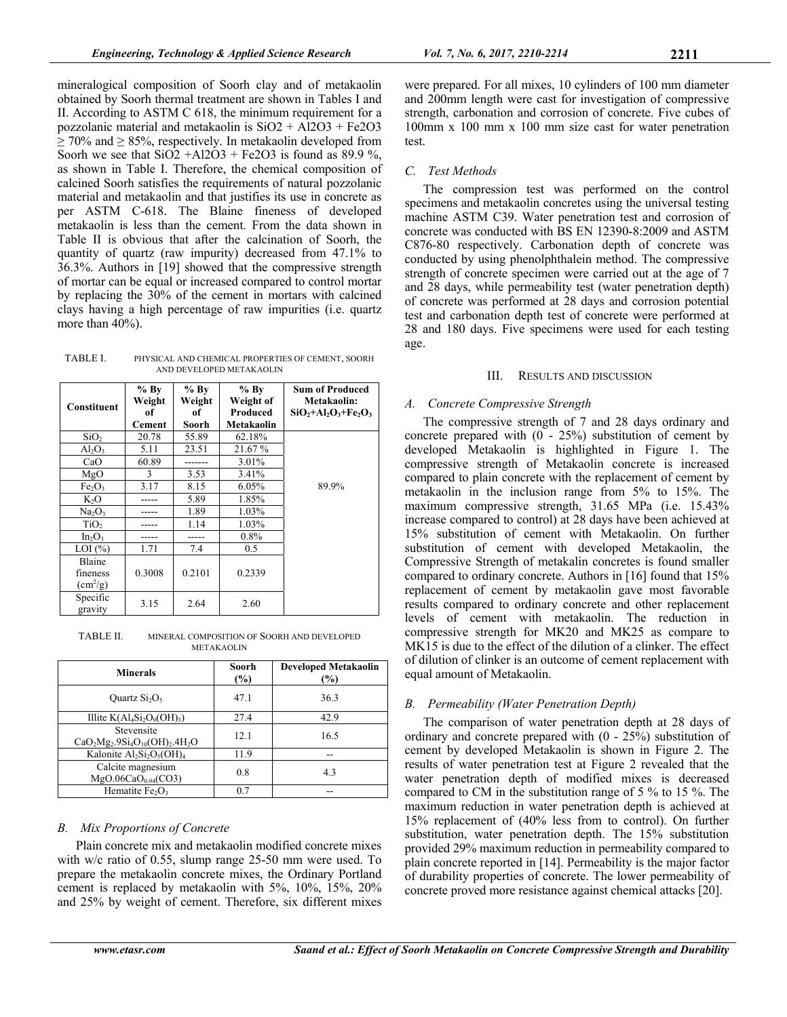mineralogical composition of Soorh clay and of metakaolin obtained by Soorh thermal treatment are shown in Tables I and II. According to ASTM C 618, the minimum requirement for a pozzolanic material and metakaolin is SiO2 + Al2O3 + Fe2O3  $\geq$  70% and  $\geq$  85%, respectively. In metakaolin developed from Soorh we see that  $SiO2 + Al2O3 + Fe2O3$  is found as 89.9 %, as shown in Table I. Therefore, the chemical composition of calcined Soorh satisfies the requirements of natural pozzolanic material and metakaolin and that justifies its use in concrete as per ASTM C-618. The Blaine fineness of developed metakaolin is less than the cement. From the data shown in Table II is obvious that after the calcination of Soorh, the quantity of quartz (raw impurity) decreased from 47.1% to 36.3%. Authors in [19] showed that the compressive strength of mortar can be equal or increased compared to control mortar by replacing the 30% of the cement in mortars with calcined clays having a high percentage of raw impurities (i.e. quartz more than 40%).

TABLE I. PHYSICAL AND CHEMICAL PROPERTIES OF CEMENT, SOORH AND DEVELOPED METAKAOLIN

|                                | $%$ By | $%$ By | $%$ By     | <b>Sum of Produced</b>  |
|--------------------------------|--------|--------|------------|-------------------------|
| <b>Constituent</b>             | Weight | Weight | Weight of  | Metakaolin:             |
|                                | оf     | of     | Produced   | $SiO_2+AI_2O_3+Fe_2O_3$ |
|                                | Cement | Soorh  | Metakaolin |                         |
| SiO <sub>2</sub>               | 20.78  | 55.89  | 62.18%     |                         |
| $Al_2O_3$                      | 5.11   | 23.51  | 21.67 %    |                         |
| CaO                            | 60.89  |        | 3.01%      |                         |
| MgO                            | 3      | 3.53   | 3.41%      |                         |
| Fe <sub>2</sub> O <sub>3</sub> | 3.17   | 8.15   | 6.05%      | 89.9%                   |
| $K_2O$                         |        | 5.89   | 1.85%      |                         |
| Na <sub>2</sub> O <sub>3</sub> |        | 1.89   | 1.03%      |                         |
| TiO <sub>2</sub>               |        | 1.14   | 1.03%      |                         |
| $In_2O_3$                      |        |        | $0.8\%$    |                         |
| $LOI$ $(\%)$                   | 1.71   | 7.4    | 0.5        |                         |
| Blaine                         |        |        |            |                         |
| fineness                       | 0.3008 | 0.2101 | 0.2339     |                         |
| $\rm(cm^2/g)$                  |        |        |            |                         |
| Specific                       | 3.15   | 2.64   | 2.60       |                         |
| gravity                        |        |        |            |                         |

TABLE II. MINERAL COMPOSITION OF SOORH AND DEVELOPED METAKAOLIN

| <b>Minerals</b>                                      | Soorh<br>(%) | <b>Developed Metakaolin</b><br>$(\%)$ |  |  |
|------------------------------------------------------|--------------|---------------------------------------|--|--|
| Ouartz $Si2O5$                                       | 47.1         | 36.3                                  |  |  |
| Illite $K(Al_4Si_2O_9(OH)_3)$                        | 27.4         | 42.9                                  |  |  |
| Stevensite<br>$CaO2Mg2.9Si4O10(OH)2.4H2O$            | 12.1         | 16.5                                  |  |  |
| Kalonite $Al_2Si_2O_5(OH)_4$                         | 11.9         |                                       |  |  |
| Calcite magnesium<br>MgO.06CaO <sub>0.94</sub> (CO3) | 0.8          | 4.3                                   |  |  |
| Hematite Fe <sub>2</sub> O <sub>3</sub>              | 0.7          |                                       |  |  |

## *B. Mix Proportions of Concrete*

Plain concrete mix and metakaolin modified concrete mixes with w/c ratio of 0.55, slump range 25-50 mm were used. To prepare the metakaolin concrete mixes, the Ordinary Portland cement is replaced by metakaolin with 5%, 10%, 15%, 20% and 25% by weight of cement. Therefore, six different mixes were prepared. For all mixes, 10 cylinders of 100 mm diameter and 200mm length were cast for investigation of compressive strength, carbonation and corrosion of concrete. Five cubes of 100mm x 100 mm x 100 mm size cast for water penetration test.

# *C. Test Methods*

The compression test was performed on the control specimens and metakaolin concretes using the universal testing machine ASTM C39. Water penetration test and corrosion of concrete was conducted with BS EN 12390-8:2009 and ASTM C876-80 respectively. Carbonation depth of concrete was conducted by using phenolphthalein method. The compressive strength of concrete specimen were carried out at the age of 7 and 28 days, while permeability test (water penetration depth) of concrete was performed at 28 days and corrosion potential test and carbonation depth test of concrete were performed at 28 and 180 days. Five specimens were used for each testing age.

## III. RESULTS AND DISCUSSION

# *A. Concrete Compressive Strength*

The compressive strength of 7 and 28 days ordinary and concrete prepared with (0 - 25%) substitution of cement by developed Metakaolin is highlighted in Figure 1. The compressive strength of Metakaolin concrete is increased compared to plain concrete with the replacement of cement by metakaolin in the inclusion range from 5% to 15%. The maximum compressive strength, 31.65 MPa (i.e. 15.43% increase compared to control) at 28 days have been achieved at 15% substitution of cement with Metakaolin. On further substitution of cement with developed Metakaolin, the Compressive Strength of metakalin concretes is found smaller compared to ordinary concrete. Authors in [16] found that 15% replacement of cement by metakaolin gave most favorable results compared to ordinary concrete and other replacement levels of cement with metakaolin. The reduction in compressive strength for MK20 and MK25 as compare to MK15 is due to the effect of the dilution of a clinker. The effect of dilution of clinker is an outcome of cement replacement with equal amount of Metakaolin.

# *B. Permeability (Water Penetration Depth)*

The comparison of water penetration depth at 28 days of ordinary and concrete prepared with (0 - 25%) substitution of cement by developed Metakaolin is shown in Figure 2. The results of water penetration test at Figure 2 revealed that the water penetration depth of modified mixes is decreased compared to CM in the substitution range of 5 % to 15 %. The maximum reduction in water penetration depth is achieved at 15% replacement of (40% less from to control). On further substitution, water penetration depth. The 15% substitution provided 29% maximum reduction in permeability compared to plain concrete reported in [14]. Permeability is the major factor of durability properties of concrete. The lower permeability of concrete proved more resistance against chemical attacks [20].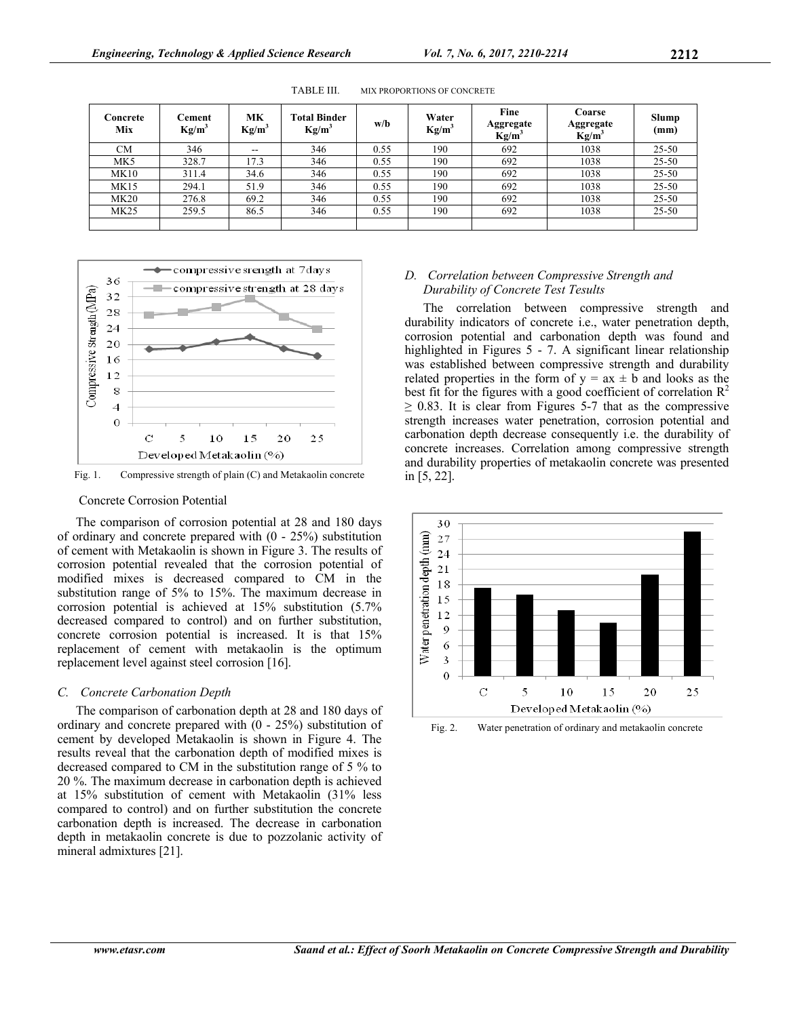| Concrete<br>Mix | Cement<br>$Kg/m^3$ | МK<br>$Kg/m^3$ | <b>Total Binder</b><br>$Kg/m^3$ | w/b  | Water<br>$Kg/m^3$ | Fine<br>Aggregate<br>$Kg/m^3$ | Coarse<br>Aggregate<br>$Kg/m^3$ | Slump<br>(mm) |
|-----------------|--------------------|----------------|---------------------------------|------|-------------------|-------------------------------|---------------------------------|---------------|
| CМ              | 346                | --             | 346                             | 0.55 | 190               | 692                           | 1038                            | $25 - 50$     |
| MK <sub>5</sub> | 328.7              | 17.3           | 346                             | 0.55 | 190               | 692                           | 1038                            | $25 - 50$     |
| MK10            | 311.4              | 34.6           | 346                             | 0.55 | 190               | 692                           | 1038                            | $25 - 50$     |
| <b>MK15</b>     | 294.1              | 51.9           | 346                             | 0.55 | 190               | 692                           | 1038                            | $25 - 50$     |
| MK20            | 276.8              | 69.2           | 346                             | 0.55 | 190               | 692                           | 1038                            | $25 - 50$     |
| <b>MK25</b>     | 259.5              | 86.5           | 346                             | 0.55 | 190               | 692                           | 1038                            | $25 - 50$     |
|                 |                    |                |                                 |      |                   |                               |                                 |               |

TABLE III. MIX PROPORTIONS OF CONCRETE



Fig. 1. Compressive strength of plain (C) and Metakaolin concrete

## Concrete Corrosion Potential

The comparison of corrosion potential at 28 and 180 days of ordinary and concrete prepared with (0 - 25%) substitution of cement with Metakaolin is shown in Figure 3. The results of corrosion potential revealed that the corrosion potential of modified mixes is decreased compared to CM in the substitution range of 5% to 15%. The maximum decrease in corrosion potential is achieved at 15% substitution (5.7% decreased compared to control) and on further substitution, concrete corrosion potential is increased. It is that 15% replacement of cement with metakaolin is the optimum replacement level against steel corrosion [16].

## *C. Concrete Carbonation Depth*

The comparison of carbonation depth at 28 and 180 days of ordinary and concrete prepared with (0 - 25%) substitution of cement by developed Metakaolin is shown in Figure 4. The results reveal that the carbonation depth of modified mixes is decreased compared to CM in the substitution range of 5 % to 20 %. The maximum decrease in carbonation depth is achieved at 15% substitution of cement with Metakaolin (31% less compared to control) and on further substitution the concrete carbonation depth is increased. The decrease in carbonation depth in metakaolin concrete is due to pozzolanic activity of mineral admixtures [21].

# *D. Correlation between Compressive Strength and Durability of Concrete Test Tesults*

The correlation between compressive strength and durability indicators of concrete i.e., water penetration depth, corrosion potential and carbonation depth was found and highlighted in Figures 5 - 7. A significant linear relationship was established between compressive strength and durability related properties in the form of  $y = ax \pm b$  and looks as the best fit for the figures with a good coefficient of correlation  $\mathbb{R}^2$  $\geq$  0.83. It is clear from Figures 5-7 that as the compressive strength increases water penetration, corrosion potential and carbonation depth decrease consequently i.e. the durability of concrete increases. Correlation among compressive strength and durability properties of metakaolin concrete was presented in [5, 22].



Fig. 2. Water penetration of ordinary and metakaolin concrete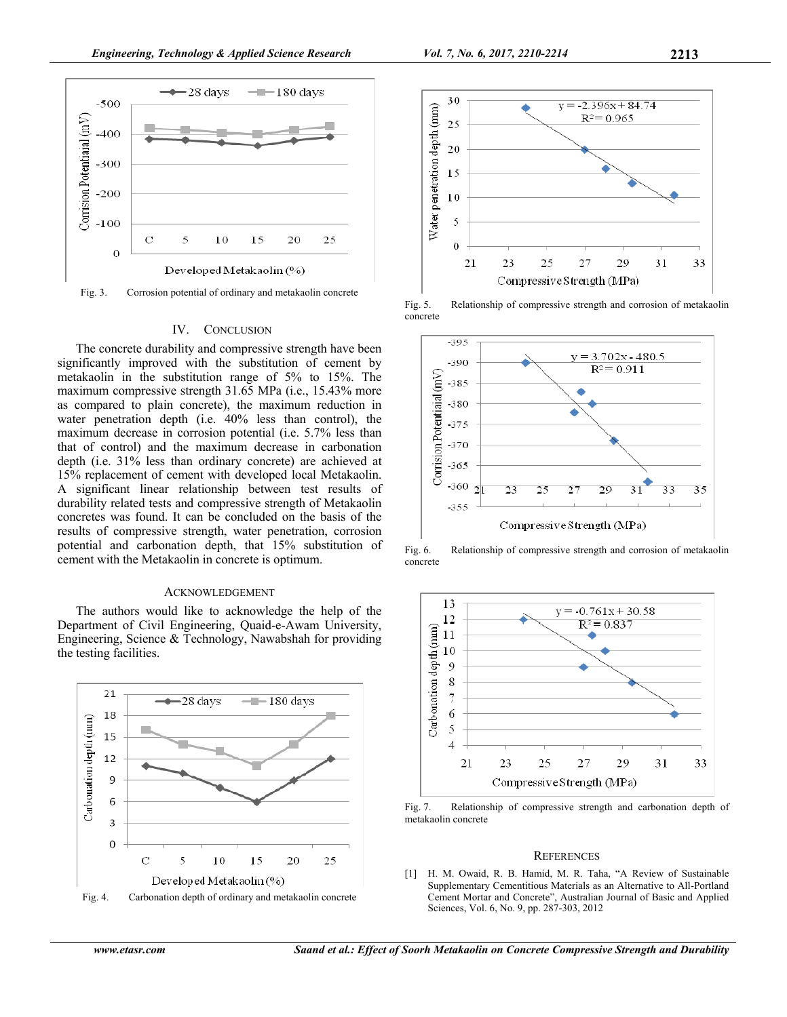

Fig. 3. Corrosion potential of ordinary and metakaolin concrete

#### IV. CONCLUSION

The concrete durability and compressive strength have been significantly improved with the substitution of cement by metakaolin in the substitution range of 5% to 15%. The maximum compressive strength 31.65 MPa (i.e., 15.43% more as compared to plain concrete), the maximum reduction in water penetration depth (i.e. 40% less than control), the maximum decrease in corrosion potential (i.e. 5.7% less than that of control) and the maximum decrease in carbonation depth (i.e. 31% less than ordinary concrete) are achieved at 15% replacement of cement with developed local Metakaolin. A significant linear relationship between test results of durability related tests and compressive strength of Metakaolin concretes was found. It can be concluded on the basis of the results of compressive strength, water penetration, corrosion potential and carbonation depth, that 15% substitution of cement with the Metakaolin in concrete is optimum.

#### ACKNOWLEDGEMENT

The authors would like to acknowledge the help of the Department of Civil Engineering, Quaid-e-Awam University, Engineering, Science & Technology, Nawabshah for providing the testing facilities.







Fig. 5. Relationship of compressive strength and corrosion of metakaolin concrete



Fig. 6. Relationship of compressive strength and corrosion of metakaolin concrete



Fig. 7. Relationship of compressive strength and carbonation depth of metakaolin concrete

## **REFERENCES**

[1] H. M. Owaid, R. B. Hamid, M. R. Taha, "A Review of Sustainable Supplementary Cementitious Materials as an Alternative to All-Portland Cement Mortar and Concrete", Australian Journal of Basic and Applied Sciences, Vol. 6, No. 9, pp. 287-303, 2012